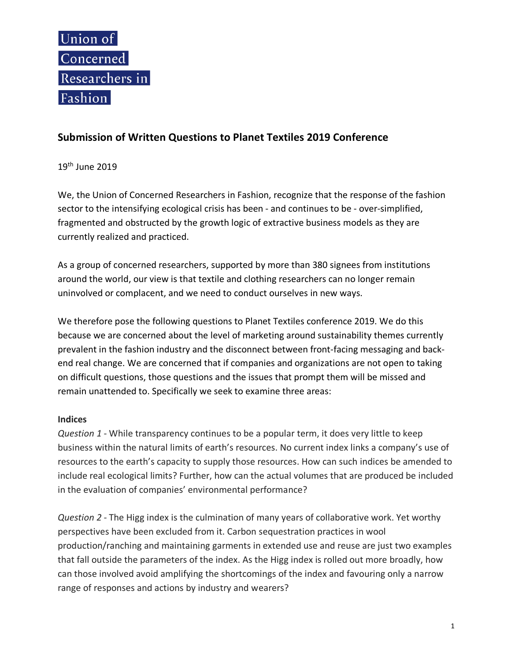

## **Submission of Written Questions to Planet Textiles 2019 Conference**

19th June 2019

We, the Union of Concerned Researchers in Fashion, recognize that the response of the fashion sector to the intensifying ecological crisis has been - and continues to be - over-simplified, fragmented and obstructed by the growth logic of extractive business models as they are currently realized and practiced.

As a group of concerned researchers, supported by more than 380 signees from institutions around the world, our view is that textile and clothing researchers can no longer remain uninvolved or complacent, and we need to conduct ourselves in new ways.

We therefore pose the following questions to Planet Textiles conference 2019. We do this because we are concerned about the level of marketing around sustainability themes currently prevalent in the fashion industry and the disconnect between front-facing messaging and backend real change. We are concerned that if companies and organizations are not open to taking on difficult questions, those questions and the issues that prompt them will be missed and remain unattended to. Specifically we seek to examine three areas:

## **Indices**

*Question 1* - While transparency continues to be a popular term, it does very little to keep business within the natural limits of earth's resources. No current index links a company's use of resources to the earth's capacity to supply those resources. How can such indices be amended to include real ecological limits? Further, how can the actual volumes that are produced be included in the evaluation of companies' environmental performance?

*Question 2 -* The Higg index is the culmination of many years of collaborative work. Yet worthy perspectives have been excluded from it. Carbon sequestration practices in wool production/ranching and maintaining garments in extended use and reuse are just two examples that fall outside the parameters of the index. As the Higg index is rolled out more broadly, how can those involved avoid amplifying the shortcomings of the index and favouring only a narrow range of responses and actions by industry and wearers?